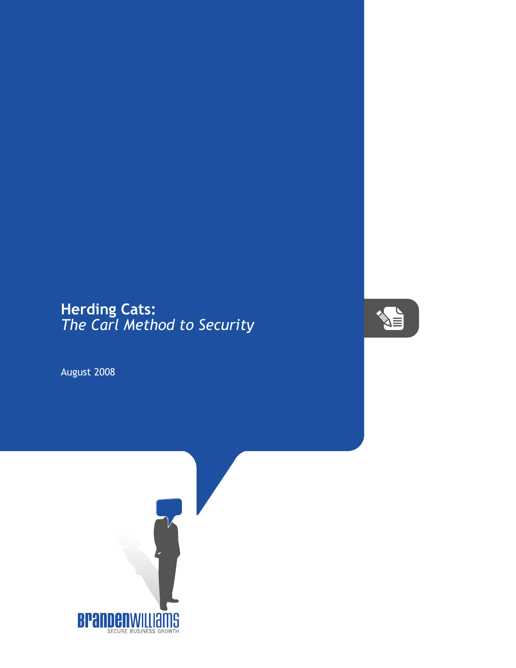## **Herding Cats:** *The Carl Method to Security*



August 2008

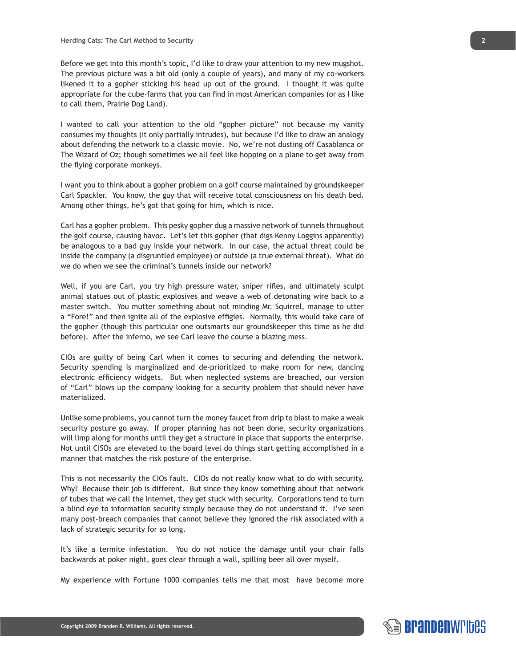Before we get into this month's topic, I'd like to draw your attention to my new mugshot. The previous picture was a bit old (only a couple of years), and many of my co-workers likened it to a gopher sticking his head up out of the ground. I thought it was quite appropriate for the cube-farms that you can find in most American companies (or as I like to call them, Prairie Dog Land).

I wanted to call your attention to the old "gopher picture" not because my vanity consumes my thoughts (it only partially intrudes), but because I'd like to draw an analogy about defending the network to a classic movie. No, we're not dusting off Casablanca or The Wizard of Oz; though sometimes we all feel like hopping on a plane to get away from the flying corporate monkeys.

I want you to think about a gopher problem on a golf course maintained by groundskeeper Carl Spackler. You know, the guy that will receive total consciousness on his death bed. Among other things, he's got that going for him, which is nice.

Carl has a gopher problem. This pesky gopher dug a massive network of tunnels throughout the golf course, causing havoc. Let's let this gopher (that digs Kenny Loggins apparently) be analogous to a bad guy inside your network. In our case, the actual threat could be inside the company (a disgruntled employee) or outside (a true external threat). What do we do when we see the criminal's tunnels inside our network?

Well, if you are Carl, you try high pressure water, sniper rifles, and ultimately sculpt animal statues out of plastic explosives and weave a web of detonating wire back to a master switch. You mutter something about not minding Mr. Squirrel, manage to utter a "Fore!" and then ignite all of the explosive effigies. Normally, this would take care of the gopher (though this particular one outsmarts our groundskeeper this time as he did before). After the inferno, we see Carl leave the course a blazing mess.

CIOs are guilty of being Carl when it comes to securing and defending the network. Security spending is marginalized and de-prioritized to make room for new, dancing electronic efficiency widgets. But when neglected systems are breached, our version of "Carl" blows up the company looking for a security problem that should never have materialized.

Unlike some problems, you cannot turn the money faucet from drip to blast to make a weak security posture go away. If proper planning has not been done, security organizations will limp along for months until they get a structure in place that supports the enterprise. Not until CISOs are elevated to the board level do things start getting accomplished in a manner that matches the risk posture of the enterprise.

This is not necessarily the CIOs fault. CIOs do not really know what to do with security. Why? Because their job is different. But since they know something about that network of tubes that we call the Internet, they get stuck with security. Corporations tend to turn a blind eye to information security simply because they do not understand it. I've seen many post-breach companies that cannot believe they ignored the risk associated with a lack of strategic security for so long.

It's like a termite infestation. You do not notice the damage until your chair falls backwards at poker night, goes clear through a wall, spilling beer all over myself.

My experience with Fortune 1000 companies tells me that most have become more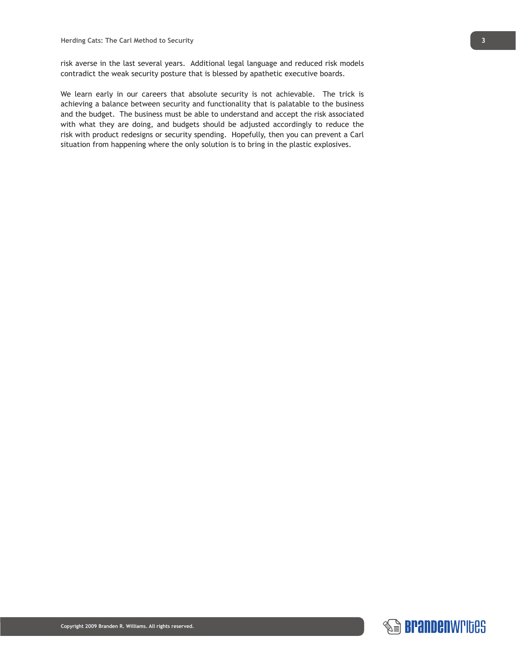risk averse in the last several years. Additional legal language and reduced risk models contradict the weak security posture that is blessed by apathetic executive boards.

We learn early in our careers that absolute security is not achievable. The trick is achieving a balance between security and functionality that is palatable to the business and the budget. The business must be able to understand and accept the risk associated with what they are doing, and budgets should be adjusted accordingly to reduce the risk with product redesigns or security spending. Hopefully, then you can prevent a Carl situation from happening where the only solution is to bring in the plastic explosives.